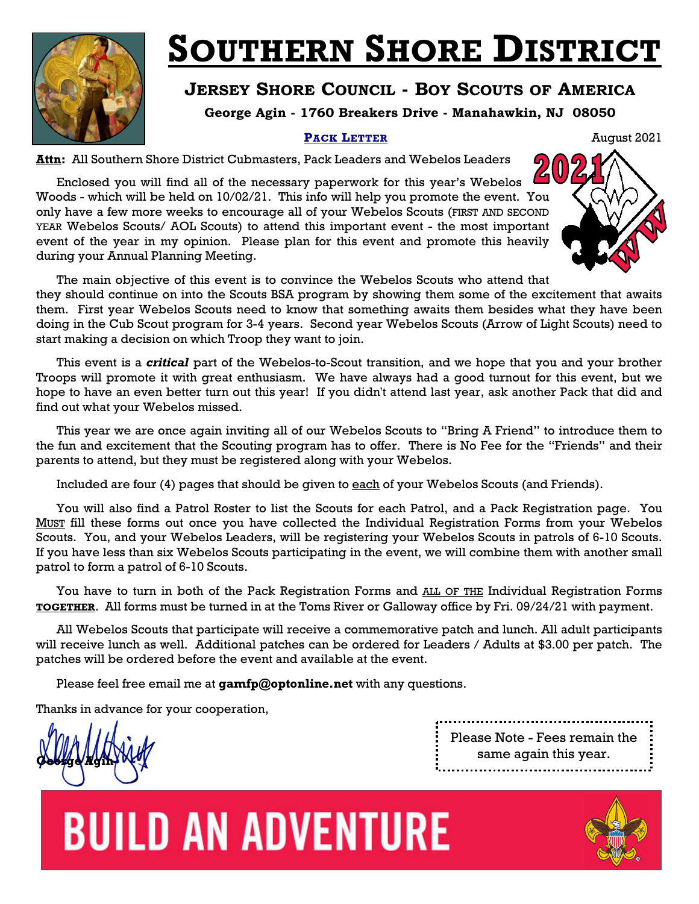

### **SOUTHERN SHORE DISTRICT**

### **JERSEY SHORE COUNCIL - BOY SCOUTS OF AMERICA**

**George Agin - 1760 Breakers Drive - Manahawkin, NJ 08050** 

### **PACK LETTER** August 2021

**Attn:** All Southern Shore District Cubmasters, Pack Leaders and Webelos Leaders

Enclosed you will find all of the necessary paperwork for this year's Webelos Woods - which will be held on 10/02/21. This info will help you promote the event. You only have a few more weeks to encourage all of your Webelos Scouts (FIRST AND SECOND YEAR Webelos Scouts/ AOL Scouts) to attend this important event - the most important event of the year in my opinion. Please plan for this event and promote this heavily during your Annual Planning Meeting.



The main objective of this event is to convince the Webelos Scouts who attend that they should continue on into the Scouts BSA program by showing them some of the excitement that awaits them. First year Webelos Scouts need to know that something awaits them besides what they have been doing in the Cub Scout program for 3-4 years. Second year Webelos Scouts (Arrow of Light Scouts) need to start making a decision on which Troop they want to join.

This event is a *critical* part of the Webelos-to-Scout transition, and we hope that you and your brother Troops will promote it with great enthusiasm. We have always had a good turnout for this event, but we hope to have an even better turn out this year! If you didn't attend last year, ask another Pack that did and find out what your Webelos missed.

This year we are once again inviting all of our Webelos Scouts to "Bring A Friend" to introduce them to the fun and excitement that the Scouting program has to offer. There is No Fee for the "Friends" and their parents to attend, but they must be registered along with your Webelos.

Included are four (4) pages that should be given to each of your Webelos Scouts (and Friends).

You will also find a Patrol Roster to list the Scouts for each Patrol, and a Pack Registration page. You MUST fill these forms out once you have collected the Individual Registration Forms from your Webelos Scouts. You, and your Webelos Leaders, will be registering your Webelos Scouts in patrols of 6-10 Scouts. If you have less than six Webelos Scouts participating in the event, we will combine them with another small patrol to form a patrol of 6-10 Scouts.

You have to turn in both of the Pack Registration Forms and ALL OF THE Individual Registration Forms **TOGETHER**. All forms must be turned in at the Toms River or Galloway office by Fri. 09/24/21 with payment.

All Webelos Scouts that participate will receive a commemorative patch and lunch. All adult participants will receive lunch as well. Additional patches can be ordered for Leaders / Adults at \$3.00 per patch. The patches will be ordered before the event and available at the event.

Please feel free email me at **gamfp@optonline.net** with any questions.

Thanks in advance for your cooperation,

**George Agin**

Please Note - Fees remain the same again this year. 



# **BUILD AN ADVENTURE**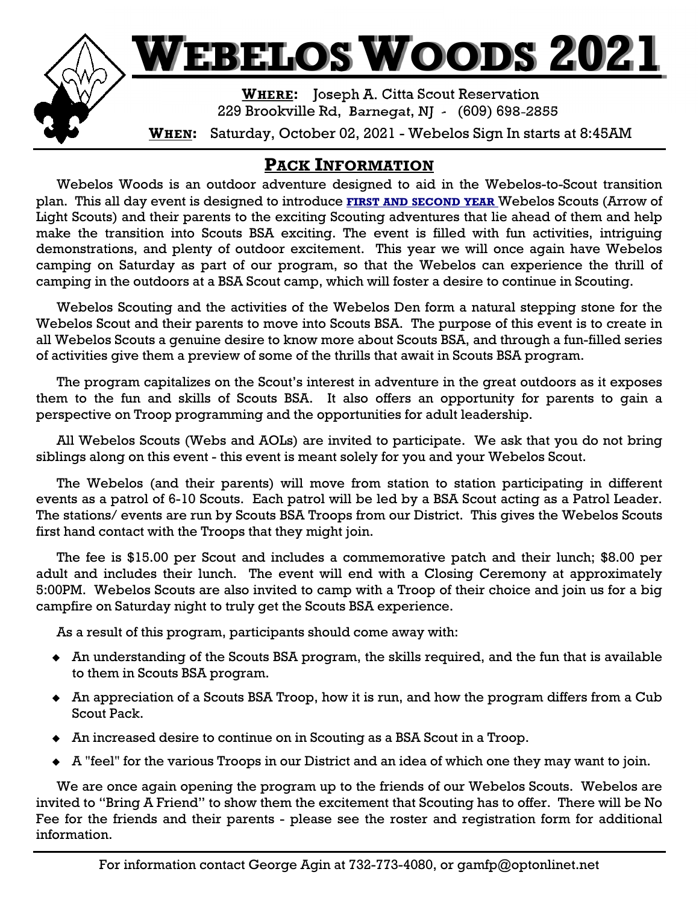

### **PACK INFORMATION**

Webelos Woods is an outdoor adventure designed to aid in the Webelos-to-Scout transition plan. This all day event is designed to introduce **FIRST AND SECOND YEAR** Webelos Scouts (Arrow of Light Scouts) and their parents to the exciting Scouting adventures that lie ahead of them and help make the transition into Scouts BSA exciting. The event is filled with fun activities, intriguing demonstrations, and plenty of outdoor excitement. This year we will once again have Webelos camping on Saturday as part of our program, so that the Webelos can experience the thrill of camping in the outdoors at a BSA Scout camp, which will foster a desire to continue in Scouting.

 Webelos Scouting and the activities of the Webelos Den form a natural stepping stone for the Webelos Scout and their parents to move into Scouts BSA. The purpose of this event is to create in all Webelos Scouts a genuine desire to know more about Scouts BSA, and through a fun-filled series of activities give them a preview of some of the thrills that await in Scouts BSA program.

 The program capitalizes on the Scout's interest in adventure in the great outdoors as it exposes them to the fun and skills of Scouts BSA. It also offers an opportunity for parents to gain a perspective on Troop programming and the opportunities for adult leadership.

All Webelos Scouts (Webs and AOLs) are invited to participate. We ask that you do not bring siblings along on this event - this event is meant solely for you and your Webelos Scout.

The Webelos (and their parents) will move from station to station participating in different events as a patrol of 6-10 Scouts. Each patrol will be led by a BSA Scout acting as a Patrol Leader. The stations/ events are run by Scouts BSA Troops from our District. This gives the Webelos Scouts first hand contact with the Troops that they might join.

The fee is \$15.00 per Scout and includes a commemorative patch and their lunch; \$8.00 per adult and includes their lunch. The event will end with a Closing Ceremony at approximately 5:00PM. Webelos Scouts are also invited to camp with a Troop of their choice and join us for a big campfire on Saturday night to truly get the Scouts BSA experience.

As a result of this program, participants should come away with:

- An understanding of the Scouts BSA program, the skills required, and the fun that is available to them in Scouts BSA program.
- An appreciation of a Scouts BSA Troop, how it is run, and how the program differs from a Cub Scout Pack.
- An increased desire to continue on in Scouting as a BSA Scout in a Troop.
- A "feel" for the various Troops in our District and an idea of which one they may want to join.

We are once again opening the program up to the friends of our Webelos Scouts. Webelos are invited to "Bring A Friend" to show them the excitement that Scouting has to offer. There will be No Fee for the friends and their parents - please see the roster and registration form for additional information.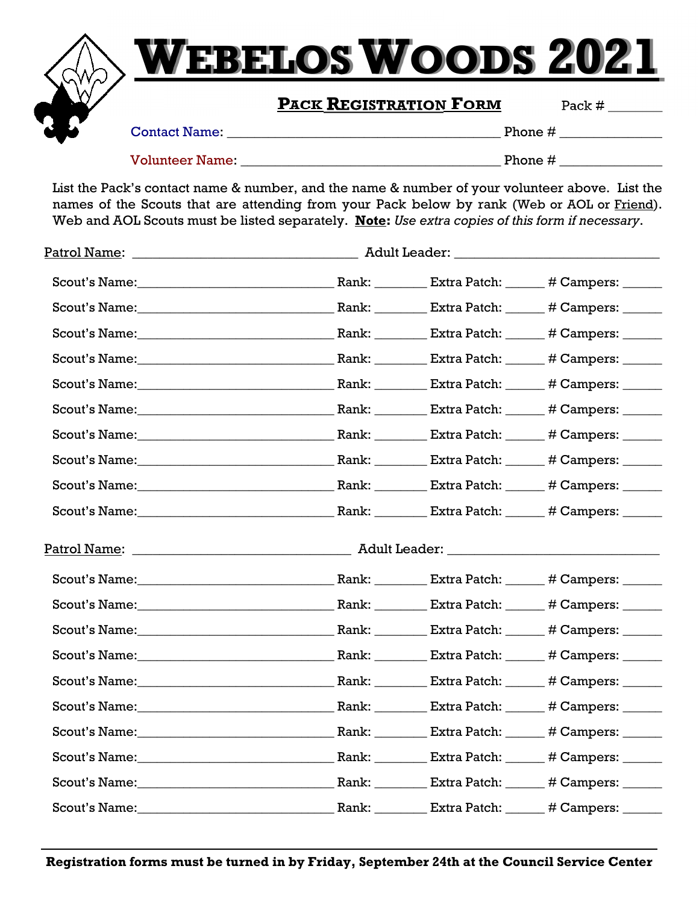

## **WEBELOSWOODS 2021**

### **PACK REGISTRATION FORM** Pack #

Contact Name: \_\_\_\_\_\_\_\_\_\_\_\_\_\_\_\_\_\_\_\_\_\_\_\_\_\_\_\_\_\_\_\_\_\_\_\_\_\_\_\_ Phone # \_\_\_\_\_\_\_\_\_\_\_\_\_\_\_

Volunteer Name: \_\_\_\_\_\_\_\_\_\_\_\_\_\_\_\_\_\_\_\_\_\_\_\_\_\_\_\_\_\_\_\_\_\_\_\_\_\_ Phone # \_\_\_\_\_\_\_\_\_\_\_\_\_\_\_

List the Pack's contact name & number, and the name & number of your volunteer above. List the names of the Scouts that are attending from your Pack below by rank (Web or AOL or Friend). Web and AOL Scouts must be listed separately. **Note:** *Use extra copies of this form if necessary*.